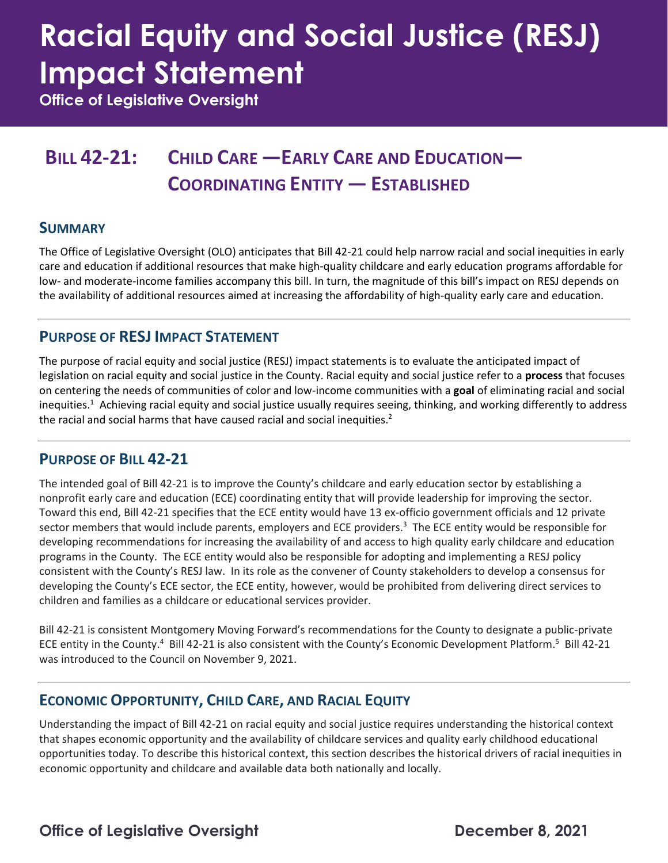# **Racial Equity and Social Justice (RESJ) Impact Statement**

**Office of Legislative Oversight**

### **BILL 42-21: CHILD CARE —EARLY CARE AND EDUCATION— COORDINATING ENTITY — ESTABLISHED**

### **SUMMARY**

The Office of Legislative Oversight (OLO) anticipates that Bill 42-21 could help narrow racial and social inequities in early care and education if additional resources that make high-quality childcare and early education programs affordable for low- and moderate-income families accompany this bill. In turn, the magnitude of this bill's impact on RESJ depends on the availability of additional resources aimed at increasing the affordability of high-quality early care and education.

### **PURPOSE OF RESJ IMPACT STATEMENT**

The purpose of racial equity and social justice (RESJ) impact statements is to evaluate the anticipated impact of legislation on racial equity and social justice in the County. Racial equity and social justice refer to a **process** that focuses on centering the needs of communities of color and low-income communities with a **goal** of eliminating racial and social inequities.<sup>1</sup> Achieving racial equity and social justice usually requires seeing, thinking, and working differently to address the racial and social harms that have caused racial and social inequities.<sup>2</sup>

### **PURPOSE OF BILL 42-21**

The intended goal of Bill 42-21 is to improve the County's childcare and early education sector by establishing a nonprofit early care and education (ECE) coordinating entity that will provide leadership for improving the sector. Toward this end, Bill 42-21 specifies that the ECE entity would have 13 ex-officio government officials and 12 private sector members that would include parents, employers and ECE providers.<sup>3</sup> The ECE entity would be responsible for developing recommendations for increasing the availability of and access to high quality early childcare and education programs in the County. The ECE entity would also be responsible for adopting and implementing a RESJ policy consistent with the County's RESJ law. In its role as the convener of County stakeholders to develop a consensus for developing the County's ECE sector, the ECE entity, however, would be prohibited from delivering direct services to children and families as a childcare or educational services provider.

Bill 42-21 is consistent Montgomery Moving Forward's recommendations for the County to designate a public-private ECE entity in the County.<sup>4</sup> Bill 42-21 is also consistent with the County's Economic Development Platform.<sup>5</sup> Bill 42-21 was introduced to the Council on November 9, 2021.

### **ECONOMIC OPPORTUNITY, CHILD CARE, AND RACIAL EQUITY**

Understanding the impact of Bill 42-21 on racial equity and social justice requires understanding the historical context that shapes economic opportunity and the availability of childcare services and quality early childhood educational opportunities today. To describe this historical context, this section describes the historical drivers of racial inequities in economic opportunity and childcare and available data both nationally and locally.

### **Office of Legislative Oversight Change 10 Contract Change 10 Contract December 8, 2021**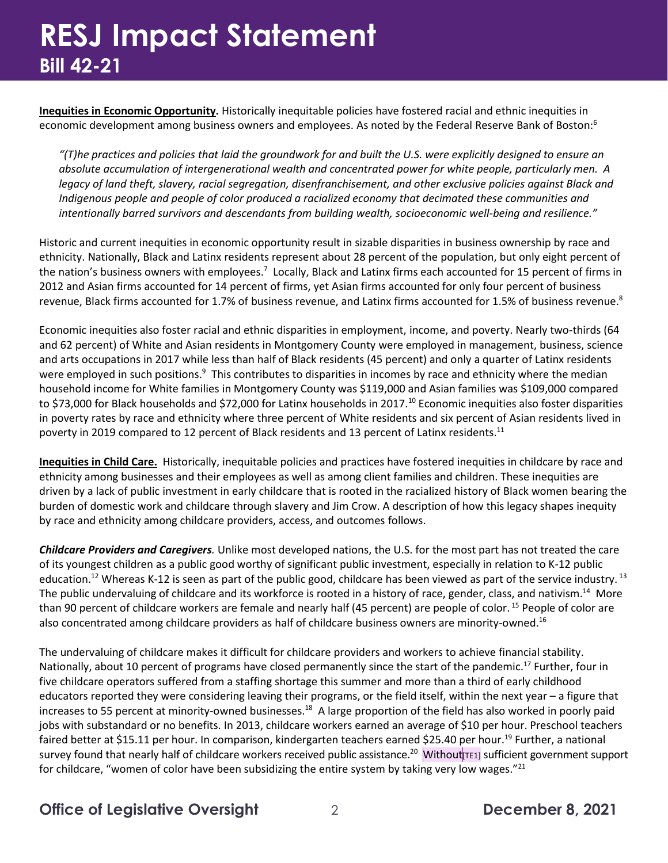### **RESJ Impact Statement Bill 42-21**

**Inequities in Economic Opportunity.** Historically inequitable policies have fostered racial and ethnic inequities in economic development among business owners and employees. As noted by the Federal Reserve Bank of Boston:<sup>6</sup>

*"(T)he practices and policies that laid the groundwork for and built the U.S. were explicitly designed to ensure an absolute accumulation of intergenerational wealth and concentrated power for white people, particularly men. A legacy of land theft, slavery, racial segregation, disenfranchisement, and other exclusive policies against Black and Indigenous people and people of color produced a racialized economy that decimated these communities and intentionally barred survivors and descendants from building wealth, socioeconomic well-being and resilience."* 

Historic and current inequities in economic opportunity result in sizable disparities in business ownership by race and ethnicity. Nationally, Black and Latinx residents represent about 28 percent of the population, but only eight percent of the nation's business owners with employees.<sup>7</sup> Locally, Black and Latinx firms each accounted for 15 percent of firms in 2012 and Asian firms accounted for 14 percent of firms, yet Asian firms accounted for only four percent of business revenue, Black firms accounted for 1.7% of business revenue, and Latinx firms accounted for 1.5% of business revenue.<sup>8</sup>

Economic inequities also foster racial and ethnic disparities in employment, income, and poverty. Nearly two-thirds (64 and 62 percent) of White and Asian residents in Montgomery County were employed in management, business, science and arts occupations in 2017 while less than half of Black residents (45 percent) and only a quarter of Latinx residents were employed in such positions.<sup>9</sup> This contributes to disparities in incomes by race and ethnicity where the median household income for White families in Montgomery County was \$119,000 and Asian families was \$109,000 compared to \$73,000 for Black households and \$72,000 for Latinx households in 2017.<sup>10</sup> Economic inequities also foster disparities in poverty rates by race and ethnicity where three percent of White residents and six percent of Asian residents lived in poverty in 2019 compared to 12 percent of Black residents and 13 percent of Latinx residents.<sup>11</sup>

**Inequities in Child Care.** Historically, inequitable policies and practices have fostered inequities in childcare by race and ethnicity among businesses and their employees as well as among client families and children. These inequities are driven by a lack of public investment in early childcare that is rooted in the racialized history of Black women bearing the burden of domestic work and childcare through slavery and Jim Crow. A description of how this legacy shapes inequity by race and ethnicity among childcare providers, access, and outcomes follows.

*Childcare Providers and Caregivers.* Unlike most developed nations, the U.S. for the most part has not treated the care of its youngest children as a public good worthy of significant public investment, especially in relation to K-12 public education.<sup>12</sup> Whereas K-12 is seen as part of the public good, childcare has been viewed as part of the service industry. <sup>13</sup> The public undervaluing of childcare and its workforce is rooted in a history of race, gender, class, and nativism.<sup>14</sup> More than 90 percent of childcare workers are female and nearly half (45 percent) are people of color. <sup>15</sup> People of color are also concentrated among childcare providers as half of childcare business owners are minority-owned.<sup>16</sup>

The undervaluing of childcare makes it difficult for childcare providers and workers to achieve financial stability. Nationally, about 10 percent of programs have closed permanently since the start of the pandemic.<sup>17</sup> Further, four in five childcare operators suffered from a staffing shortage this summer and more than a third of early childhood educators reported they were considering leaving their programs, or the field itself, within the next year – a figure that increases to 55 percent at minority-owned businesses.<sup>18</sup> A large proportion of the field has also worked in poorly paid jobs with substandard or no benefits. In 2013, childcare workers earned an average of \$10 per hour. Preschool teachers faired better at \$15.11 per hour. In comparison, kindergarten teachers earned \$25.40 per hour.<sup>19</sup> Further, a national survey found that nearly half of childcare workers received public assistance.<sup>20</sup> Without<sub>[TE1]</sub> sufficient government support for childcare, "women of color have been subsidizing the entire system by taking very low wages."<sup>21</sup>

**Office of Legislative Oversight** 2 **December 8, 2021**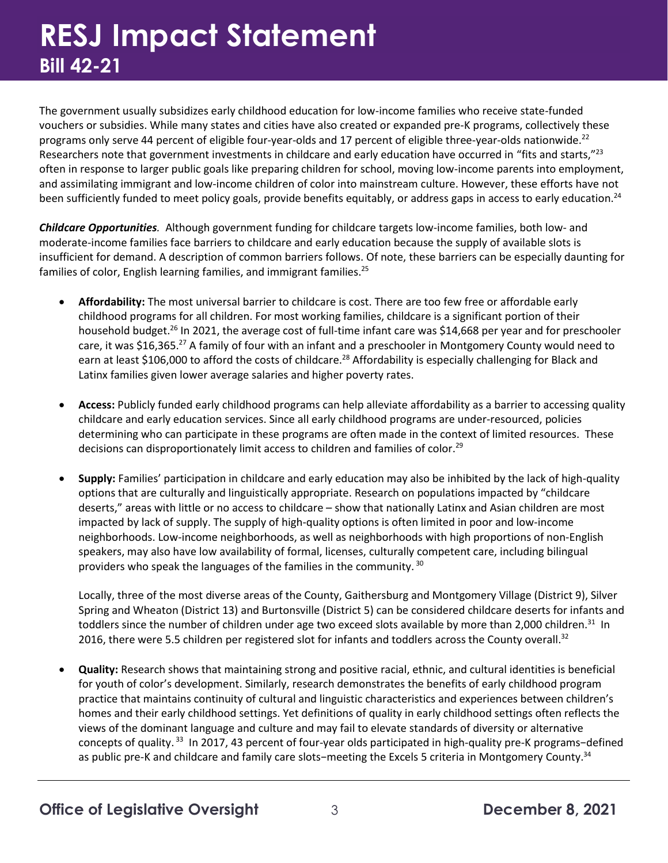## **RESJ Impact Statement Bill 42-21**

The government usually subsidizes early childhood education for low-income families who receive state-funded vouchers or subsidies. While many states and cities have also created or expanded pre-K programs, collectively these programs only serve 44 percent of eligible four-year-olds and 17 percent of eligible three-year-olds nationwide.<sup>22</sup> Researchers note that government investments in childcare and early education have occurred in "fits and starts,"<sup>23</sup> often in response to larger public goals like preparing children for school, moving low-income parents into employment, and assimilating immigrant and low-income children of color into mainstream culture. However, these efforts have not been sufficiently funded to meet policy goals, provide benefits equitably, or address gaps in access to early education.<sup>24</sup>

*Childcare Opportunities.* Although government funding for childcare targets low-income families, both low- and moderate-income families face barriers to childcare and early education because the supply of available slots is insufficient for demand. A description of common barriers follows. Of note, these barriers can be especially daunting for families of color, English learning families, and immigrant families.<sup>25</sup>

- **Affordability:** The most universal barrier to childcare is cost. There are too few free or affordable early childhood programs for all children. For most working families, childcare is a significant portion of their household budget.<sup>26</sup> In 2021, the average cost of full-time infant care was \$14,668 per year and for preschooler care, it was \$16,365.<sup>27</sup> A family of four with an infant and a preschooler in Montgomery County would need to earn at least \$106,000 to afford the costs of childcare.<sup>28</sup> Affordability is especially challenging for Black and Latinx families given lower average salaries and higher poverty rates.
- **Access:** Publicly funded early childhood programs can help alleviate affordability as a barrier to accessing quality childcare and early education services. Since all early childhood programs are under-resourced, policies determining who can participate in these programs are often made in the context of limited resources. These decisions can disproportionately limit access to children and families of color.<sup>29</sup>
- **Supply:** Families' participation in childcare and early education may also be inhibited by the lack of high-quality options that are culturally and linguistically appropriate. Research on populations impacted by "childcare deserts," areas with little or no access to childcare – show that nationally Latinx and Asian children are most impacted by lack of supply. The supply of high-quality options is often limited in poor and low-income neighborhoods. Low-income neighborhoods, as well as neighborhoods with high proportions of non-English speakers, may also have low availability of formal, licenses, culturally competent care, including bilingual providers who speak the languages of the families in the community. <sup>30</sup>

Locally, three of the most diverse areas of the County, Gaithersburg and Montgomery Village (District 9), Silver Spring and Wheaton (District 13) and Burtonsville (District 5) can be considered childcare deserts for infants and toddlers since the number of children under age two exceed slots available by more than 2,000 children.<sup>31</sup> In 2016, there were 5.5 children per registered slot for infants and toddlers across the County overall.<sup>32</sup>

• **Quality:** Research shows that maintaining strong and positive racial, ethnic, and cultural identities is beneficial for youth of color's development. Similarly, research demonstrates the benefits of early childhood program practice that maintains continuity of cultural and linguistic characteristics and experiences between children's homes and their early childhood settings. Yet definitions of quality in early childhood settings often reflects the views of the dominant language and culture and may fail to elevate standards of diversity or alternative concepts of quality.<sup>33</sup> In 2017, 43 percent of four-year olds participated in high-quality pre-K programs-defined as public pre-K and childcare and family care slots−meeting the Excels 5 criteria in Montgomery County.34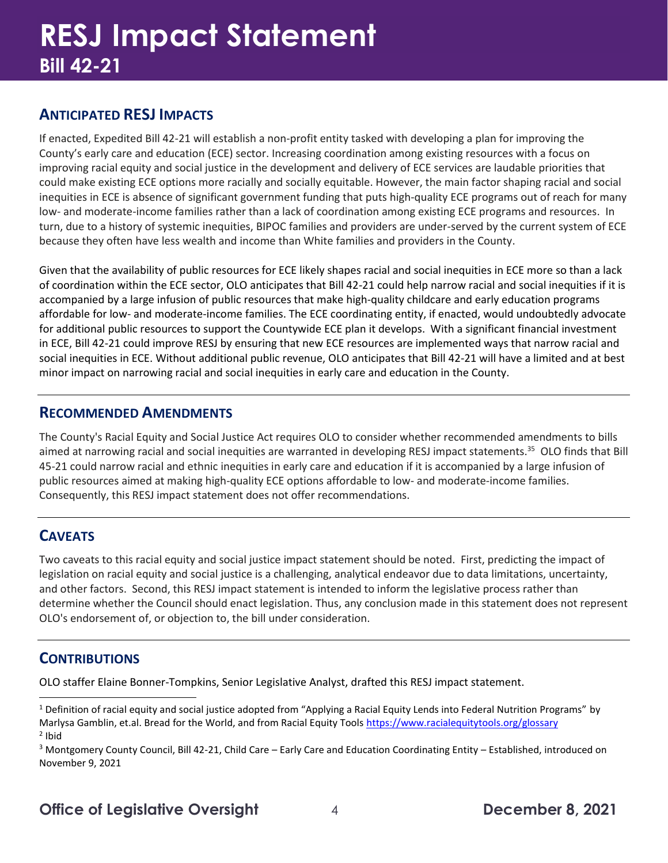### **ANTICIPATED RESJ IMPACTS**

If enacted, Expedited Bill 42-21 will establish a non-profit entity tasked with developing a plan for improving the County's early care and education (ECE) sector. Increasing coordination among existing resources with a focus on improving racial equity and social justice in the development and delivery of ECE services are laudable priorities that could make existing ECE options more racially and socially equitable. However, the main factor shaping racial and social inequities in ECE is absence of significant government funding that puts high-quality ECE programs out of reach for many low- and moderate-income families rather than a lack of coordination among existing ECE programs and resources. In turn, due to a history of systemic inequities, BIPOC families and providers are under-served by the current system of ECE because they often have less wealth and income than White families and providers in the County.

Given that the availability of public resources for ECE likely shapes racial and social inequities in ECE more so than a lack of coordination within the ECE sector, OLO anticipates that Bill 42-21 could help narrow racial and social inequities if it is accompanied by a large infusion of public resources that make high-quality childcare and early education programs affordable for low- and moderate-income families. The ECE coordinating entity, if enacted, would undoubtedly advocate for additional public resources to support the Countywide ECE plan it develops. With a significant financial investment in ECE, Bill 42-21 could improve RESJ by ensuring that new ECE resources are implemented ways that narrow racial and social inequities in ECE. Without additional public revenue, OLO anticipates that Bill 42-21 will have a limited and at best minor impact on narrowing racial and social inequities in early care and education in the County.

#### **RECOMMENDED AMENDMENTS**

The County's Racial Equity and Social Justice Act requires OLO to consider whether recommended amendments to bills aimed at narrowing racial and social inequities are warranted in developing RESJ impact statements.<sup>35</sup> OLO finds that Bill 45-21 could narrow racial and ethnic inequities in early care and education if it is accompanied by a large infusion of public resources aimed at making high-quality ECE options affordable to low- and moderate-income families. Consequently, this RESJ impact statement does not offer recommendations.

### **CAVEATS**

Two caveats to this racial equity and social justice impact statement should be noted. First, predicting the impact of legislation on racial equity and social justice is a challenging, analytical endeavor due to data limitations, uncertainty, and other factors. Second, this RESJ impact statement is intended to inform the legislative process rather than determine whether the Council should enact legislation. Thus, any conclusion made in this statement does not represent OLO's endorsement of, or objection to, the bill under consideration.

### **CONTRIBUTIONS**

OLO staffer Elaine Bonner-Tompkins, Senior Legislative Analyst, drafted this RESJ impact statement.

<sup>&</sup>lt;sup>1</sup> Definition of racial equity and social justice adopted from "Applying a Racial Equity Lends into Federal Nutrition Programs" by Marlysa Gamblin, et.al. Bread for the World, and from Racial Equity Tools<https://www.racialequitytools.org/glossary> <sup>2</sup> Ibid

<sup>3</sup> Montgomery County Council, Bill 42-21, Child Care – Early Care and Education Coordinating Entity – Established, introduced on November 9, 2021